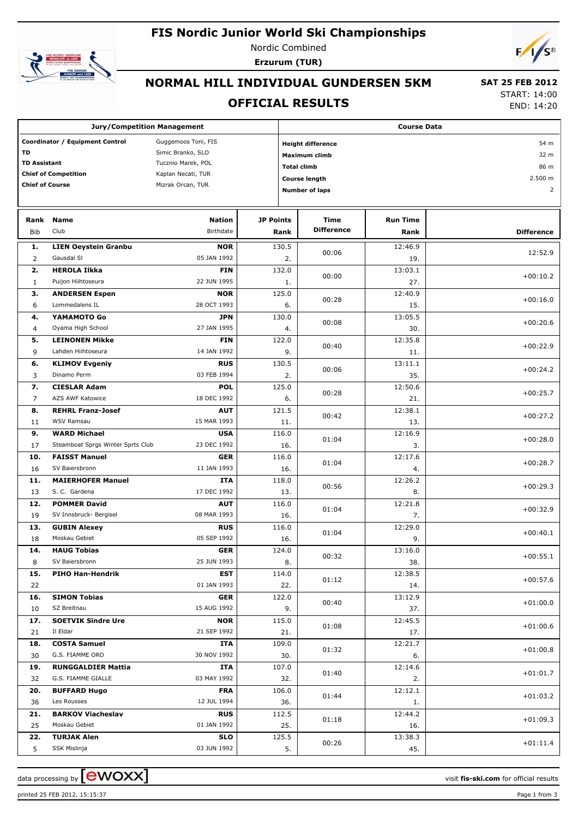# **FIS Nordic Junior World Ski Championships**



Nordic Combined **Erzurum (TUR)**



#### **NORMAL HILL INDIVIDUAL GUNDERSEN 5KM**

#### **OFFICIAL RESULTS**

 **SAT 25 FEB 2012** START: 14:00

END: 14:20

| <b>Jury/Competition Management</b>                     |                                           |                           |                  |              | <b>Course Data</b>               |                 |                   |  |  |  |
|--------------------------------------------------------|-------------------------------------------|---------------------------|------------------|--------------|----------------------------------|-----------------|-------------------|--|--|--|
| Coordinator / Equipment Control<br>Guggemoos Toni, FIS |                                           |                           |                  |              | <b>Height difference</b><br>54 m |                 |                   |  |  |  |
| TD<br>Simic Branko, SLO                                |                                           |                           |                  |              | Maximum climb                    | 32 m            |                   |  |  |  |
| <b>TD Assistant</b>                                    |                                           | Tucznio Marek, POL        |                  |              | <b>Total climb</b>               | 86 m            |                   |  |  |  |
|                                                        | <b>Chief of Competition</b>               | Kaplan Necati, TUR        |                  |              | <b>Course length</b>             |                 | 2.500 m           |  |  |  |
| <b>Chief of Course</b>                                 |                                           | Mizrak Orcan, TUR         |                  |              |                                  |                 | 2                 |  |  |  |
|                                                        |                                           |                           |                  |              | <b>Number of laps</b>            |                 |                   |  |  |  |
|                                                        |                                           |                           |                  |              |                                  |                 |                   |  |  |  |
| Rank                                                   | <b>Name</b>                               | <b>Nation</b>             | <b>JP Points</b> |              | Time                             | <b>Run Time</b> |                   |  |  |  |
| <b>Bib</b>                                             | Club                                      | Birthdate                 |                  | Rank         | <b>Difference</b>                | Rank            | <b>Difference</b> |  |  |  |
| 1.                                                     | <b>LIEN Oeystein Granbu</b>               | <b>NOR</b>                |                  | 130.5        |                                  | 12:46.9         |                   |  |  |  |
| $\overline{2}$                                         | Gausdal SI                                | 05 JAN 1992               |                  | 2.           | 00:06                            | 19.             | 12:52.9           |  |  |  |
| 2.                                                     | <b>HEROLA Ilkka</b>                       | <b>FIN</b>                |                  | 132.0        | 00:00                            | 13:03.1         | $+00:10.2$        |  |  |  |
| $\mathbf{1}$                                           | Puijon Hiihtoseura                        | 22 JUN 1995               |                  | 1.           |                                  | 27.             |                   |  |  |  |
| 3.                                                     | <b>ANDERSEN Espen</b>                     | <b>NOR</b>                |                  | 125.0        | 00:28                            | 12:40.9         | $+00:16.0$        |  |  |  |
| 6                                                      | Lommedalens IL                            | 28 OCT 1993               |                  | 6.           |                                  | 15.             |                   |  |  |  |
| 4.                                                     | YAMAMOTO Go                               | <b>JPN</b>                |                  | 130.0        | 00:08                            | 13:05.5         | $+00:20.6$        |  |  |  |
| 4                                                      | Oyama High School                         | 27 JAN 1995               |                  | 4.           |                                  | 30.             |                   |  |  |  |
| 5.                                                     | <b>LEINONEN Mikke</b>                     | <b>FIN</b>                |                  | 122.0        | 00:40                            | 12:35.8         | $+00:22.9$        |  |  |  |
| 9                                                      | Lahden Hiihtoseura                        | 14 JAN 1992               |                  | 9.           |                                  | 11.             |                   |  |  |  |
| 6.                                                     | <b>KLIMOV Evgeniy</b>                     | <b>RUS</b>                |                  | 130.5        | 00:06                            | 13:11.1         | $+00:24.2$        |  |  |  |
| 3                                                      | Dinamo Perm                               | 03 FEB 1994               |                  | 2.           |                                  | 35.             |                   |  |  |  |
| 7.                                                     | <b>CIESLAR Adam</b>                       | <b>POL</b>                |                  | 125.0        | 00:28                            | 12:50.6         | $+00:25.7$        |  |  |  |
| 7                                                      | AZS AWF Katowice                          | 18 DEC 1992               |                  | 6.           |                                  | 21.             |                   |  |  |  |
| 8.                                                     | <b>REHRL Franz-Josef</b>                  | <b>AUT</b>                |                  | 121.5        | 00:42                            | 12:38.1         | $+00:27.2$        |  |  |  |
| 11                                                     | <b>WSV Ramsau</b>                         | 15 MAR 1993               |                  | 11.          |                                  | 13.             |                   |  |  |  |
| 9.                                                     | <b>WARD Michael</b>                       | <b>USA</b>                |                  | 116.0        | 01:04                            | 12:16.9         | $+00:28.0$        |  |  |  |
| 17                                                     | Steamboat Sprgs Winter Sprts Club         | 23 DEC 1992               |                  | 16.          |                                  | 3.              |                   |  |  |  |
| 10.                                                    | <b>FAISST Manuel</b>                      | <b>GER</b>                |                  | 116.0        | 01:04                            | 12:17.6         | $+00:28.7$        |  |  |  |
| 16                                                     | SV Baiersbronn                            | 11 JAN 1993               |                  | 16.          |                                  | 4.              |                   |  |  |  |
| 11.<br>13                                              | <b>MAIERHOFER Manuel</b><br>S. C. Gardena | <b>ITA</b><br>17 DEC 1992 |                  | 118.0<br>13. | 00:56                            | 12:26.2<br>8.   | $+00:29.3$        |  |  |  |
| 12.                                                    | <b>POMMER David</b>                       | <b>AUT</b>                |                  | 116.0        |                                  | 12:21.8         |                   |  |  |  |
| 19                                                     | SV Innsbruck- Bergisel                    | 08 MAR 1993               |                  | 16.          | 01:04                            | 7.              | $+00:32.9$        |  |  |  |
| 13.                                                    | <b>GUBIN Alexey</b>                       | <b>RUS</b>                |                  | 116.0        |                                  | 12:29.0         |                   |  |  |  |
| 18                                                     | Moskau Gebiet                             | 05 SEP 1992               |                  | 16.          | 01:04                            | 9.              | $+00:40.1$        |  |  |  |
| 14.                                                    | <b>HAUG Tobias</b>                        | <b>GER</b>                |                  | 124.0        |                                  | 13:16.0         |                   |  |  |  |
| 8                                                      | SV Baiersbronn                            | 25 JUN 1993               |                  | 8.           | 00:32                            | 38.             | $+00:55.1$        |  |  |  |
| 15.                                                    | <b>PIHO Han-Hendrik</b>                   | EST                       |                  | 114.0        |                                  | 12:38.5         |                   |  |  |  |
| 22                                                     |                                           | 01 JAN 1993               |                  | 22.          | 01:12                            | 14.             | $+00:57.6$        |  |  |  |
| 16.                                                    | <b>SIMON Tobias</b>                       | <b>GER</b>                |                  | 122.0        |                                  | 13:12.9         |                   |  |  |  |
| 10                                                     | SZ Breitnau                               | 15 AUG 1992               |                  | 9.           | 00:40                            | 37.             | $+01:00.0$        |  |  |  |
| 17.                                                    | <b>SOETVIK Sindre Ure</b>                 | <b>NOR</b>                |                  | 115.0        |                                  | 12:45.5         |                   |  |  |  |
| 21                                                     | Il Eldar                                  | 21 SEP 1992               |                  | 21.          | 01:08                            | 17.             | $+01:00.6$        |  |  |  |
| 18.                                                    | <b>COSTA Samuel</b>                       | ITA                       |                  | 109.0        |                                  | 12:21.7         |                   |  |  |  |
| 30                                                     | G.S. FIAMME ORO                           | 30 NOV 1992               |                  | 01:32<br>30. |                                  | 6.              | $+01:00.8$        |  |  |  |
| 19.                                                    | <b>RUNGGALDIER Mattia</b>                 | ITA                       |                  | 107.0        |                                  | 12:14.6         |                   |  |  |  |
| 32                                                     | G.S. FIAMME GIALLE                        | 03 MAY 1992               |                  | 32.          | 01:40                            | 2.              | $+01:01.7$        |  |  |  |
| 20.                                                    | <b>BUFFARD Hugo</b>                       | <b>FRA</b>                |                  | 106.0        | 01:44                            | 12:12.1         | $+01:03.2$        |  |  |  |
| 36                                                     | Les Rousses                               | 12 JUL 1994               |                  | 36.          |                                  | 1.              |                   |  |  |  |
| 21.                                                    | <b>BARKOV Viacheslav</b>                  | <b>RUS</b>                |                  | 112.5        | 01:18                            | 12:44.2         | $+01:09.3$        |  |  |  |
| 25                                                     | Moskau Gebiet                             | 01 JAN 1992               |                  | 25.          |                                  | 16.             |                   |  |  |  |
| 22.                                                    | <b>TURJAK Alen</b>                        | <b>SLO</b>                |                  | 125.5        | 00:26                            | 13:38.3         | $+01:11.4$        |  |  |  |
| 5                                                      | SSK Mislinja                              | 03 JUN 1992               |                  | 5.           |                                  | 45.             |                   |  |  |  |

printed 25 FEB 2012, 15:15:37 Page 1 from 3

data processing by **CWOXX**  $\blacksquare$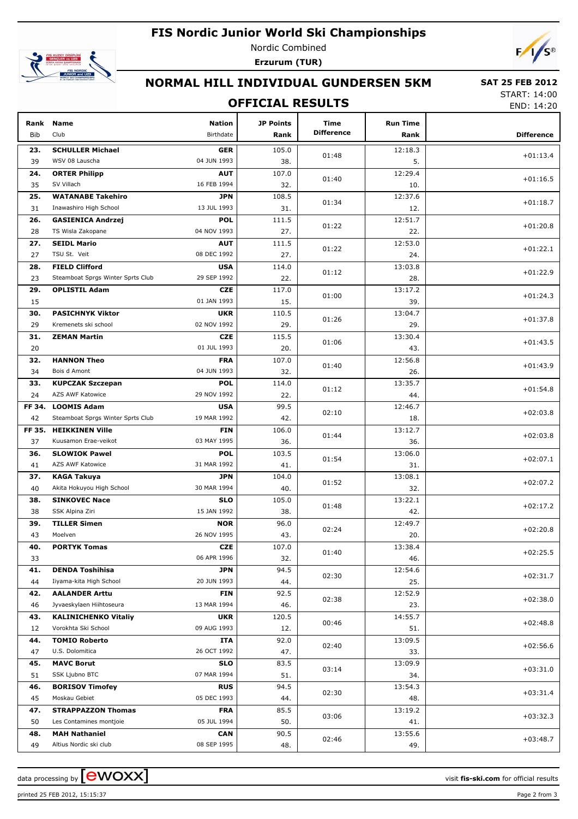# **FIS Nordic Junior World Ski Championships**



Nordic Combined **Erzurum (TUR)**



## **NORMAL HILL INDIVIDUAL GUNDERSEN 5KM**

#### **OFFICIAL RESULTS**

 **SAT 25 FEB 2012** START: 14:00

END: 14:20

| Rank<br>Bib | <b>Name</b><br>Club               | <b>Nation</b><br>Birthdate | <b>JP Points</b><br>Rank | Time<br><b>Difference</b> | <b>Run Time</b><br>Rank | <b>Difference</b> |
|-------------|-----------------------------------|----------------------------|--------------------------|---------------------------|-------------------------|-------------------|
| 23.         | <b>SCHULLER Michael</b>           | <b>GER</b>                 | 105.0                    |                           | 12:18.3                 |                   |
| 39          | WSV 08 Lauscha                    | 04 JUN 1993                | 38.                      | 01:48                     | 5.                      | $+01:13.4$        |
| 24.         | <b>ORTER Philipp</b>              | <b>AUT</b>                 | 107.0                    |                           | 12:29.4                 |                   |
| 35          | SV Villach                        | 16 FEB 1994                | 32.                      | 01:40                     | 10.                     | $+01:16.5$        |
| 25.         | <b>WATANABE Takehiro</b>          | JPN                        | 108.5                    |                           | 12:37.6                 |                   |
| 31          | Inawashiro High School            | 13 JUL 1993                | 31.                      | 01:34                     | 12.                     | $+01:18.7$        |
| 26.         | <b>GASIENICA Andrzej</b>          | <b>POL</b>                 | 111.5                    |                           | 12:51.7                 |                   |
| 28          | TS Wisla Zakopane                 | 04 NOV 1993                | 27.                      | 01:22                     | 22.                     | $+01:20.8$        |
| 27.         | <b>SEIDL Mario</b>                | <b>AUT</b>                 | 111.5                    |                           | 12:53.0                 |                   |
| 27          | TSU St. Veit                      | 08 DEC 1992                | 27.                      | 01:22                     | 24.                     | $+01:22.1$        |
| 28.         | <b>FIELD Clifford</b>             | <b>USA</b>                 | 114.0                    |                           | 13:03.8                 |                   |
| 23          | Steamboat Sprgs Winter Sprts Club | 29 SEP 1992                | 22.                      | 01:12                     | 28.                     | $+01:22.9$        |
| 29.         | <b>OPLISTIL Adam</b>              | <b>CZE</b>                 | 117.0                    |                           | 13:17.2                 |                   |
| 15          |                                   | 01 JAN 1993                | 15.                      | 01:00                     | 39.                     | $+01:24.3$        |
| 30.         | <b>PASICHNYK Viktor</b>           | <b>UKR</b>                 | 110.5                    |                           | 13:04.7                 |                   |
| 29          | Kremenets ski school              | 02 NOV 1992                | 29.                      | 01:26                     | 29.                     | $+01:37.8$        |
| 31.         | <b>ZEMAN Martin</b>               | <b>CZE</b>                 | 115.5                    |                           | 13:30.4                 |                   |
| 20          |                                   | 01 JUL 1993                | 20.                      | 01:06                     | 43.                     | $+01:43.5$        |
| 32.         | <b>HANNON Theo</b>                | <b>FRA</b>                 | 107.0                    |                           | 12:56.8                 |                   |
| 34          | Bois d Amont                      | 04 JUN 1993                | 32.                      | 01:40                     | 26.                     | $+01:43.9$        |
| 33.         | <b>KUPCZAK Szczepan</b>           | <b>POL</b>                 | 114.0                    |                           | 13:35.7                 |                   |
| 24          | AZS AWF Katowice                  | 29 NOV 1992                | 22.                      | 01:12                     | 44.                     | $+01:54.8$        |
| FF 34.      | <b>LOOMIS Adam</b>                | <b>USA</b>                 | 99.5                     |                           | 12:46.7                 |                   |
| 42          | Steamboat Sprgs Winter Sprts Club | 19 MAR 1992                | 42.                      | 02:10                     | 18.                     | $+02:03.8$        |
| FF 35.      | <b>HEIKKINEN Ville</b>            | <b>FIN</b>                 | 106.0                    |                           | 13:12.7                 |                   |
| 37          | Kuusamon Erae-veikot              | 03 MAY 1995                | 36.                      | 01:44                     | 36.                     | $+02:03.8$        |
| 36.         | <b>SLOWIOK Pawel</b>              | <b>POL</b>                 | 103.5                    | 01:54                     | 13:06.0                 | $+02:07.1$        |
| 41          | AZS AWF Katowice                  | 31 MAR 1992                | 41.                      |                           | 31.                     |                   |
| 37.         | <b>KAGA Takuya</b>                | <b>JPN</b>                 | 104.0                    | 01:52                     | 13:08.1                 | $+02:07.2$        |
| 40          | Akita Hokuyou High School         | 30 MAR 1994                | 40.                      |                           | 32.                     |                   |
| 38.         | <b>SINKOVEC Nace</b>              | <b>SLO</b>                 | 105.0                    | 01:48                     | 13:22.1                 | $+02:17.2$        |
| 38          | SSK Alpina Ziri                   | 15 JAN 1992                | 38.                      |                           | 42.                     |                   |
| 39.         | <b>TILLER Simen</b>               | <b>NOR</b>                 | 96.0                     | 02:24                     | 12:49.7                 | $+02:20.8$        |
| 43          | Moelven                           | 26 NOV 1995                | 43.                      |                           | 20.                     |                   |
| 40.         | <b>PORTYK Tomas</b>               | <b>CZE</b>                 | 107.0                    | 01:40                     | 13:38.4                 | $+02:25.5$        |
| 33          |                                   | 06 APR 1996                | 32.                      |                           | 46.                     |                   |
| 41.         | <b>DENDA Toshihisa</b>            | <b>JPN</b>                 | 94.5                     | 02:30                     | 12:54.6                 | $+02:31.7$        |
| 44          | Iiyama-kita High School           | 20 JUN 1993                | 44.                      |                           | 25.                     |                   |
| 42.         | <b>AALANDER Arttu</b>             | <b>FIN</b>                 | 92.5                     | 02:38                     | 12:52.9                 | $+02:38.0$        |
| 46          | Jyvaeskylaen Hiihtoseura          | 13 MAR 1994                | 46.                      |                           | 23.                     |                   |
| 43.         | <b>KALINICHENKO Vitaliy</b>       | <b>UKR</b>                 | 120.5                    | 00:46                     | 14:55.7                 | $+02:48.8$        |
| 12          | Vorokhta Ski School               | 09 AUG 1993                | 12.                      |                           | 51.                     |                   |
| 44.         | <b>TOMIO Roberto</b>              | ITA                        | 92.0                     | 02:40                     | 13:09.5                 | $+02:56.6$        |
| 47          | U.S. Dolomitica                   | 26 OCT 1992                | 47.                      |                           | 33.                     |                   |
| 45.         | <b>MAVC Borut</b>                 | <b>SLO</b>                 | 83.5                     | 03:14                     | 13:09.9                 | $+03:31.0$        |
| 51          | SSK Ljubno BTC                    | 07 MAR 1994                | 51.                      |                           | 34.                     |                   |
| 46.         | <b>BORISOV Timofey</b>            | <b>RUS</b>                 | 94.5                     | 02:30                     | 13:54.3                 | $+03:31.4$        |
| 45          | Moskau Gebiet                     | 05 DEC 1993                | 44.                      |                           | 48.                     |                   |
| 47.         | <b>STRAPPAZZON Thomas</b>         | <b>FRA</b>                 | 85.5                     | 03:06                     | 13:19.2                 | $+03:32.3$        |
| 50          | Les Contamines montjoie           | 05 JUL 1994                | 50.                      |                           | 41.                     |                   |
| 48.         | <b>MAH Nathaniel</b>              | <b>CAN</b>                 | 90.5                     | 02:46                     | 13:55.6                 | $+03:48.7$        |
| 49          | Altius Nordic ski club            | 08 SEP 1995                | 48.                      |                           | 49.                     |                   |

data processing by **CWOXX** and  $\overline{A}$  and  $\overline{B}$  wisit **fis-ski.com** for official results

printed 25 FEB 2012, 15:15:37 Page 2 from 3